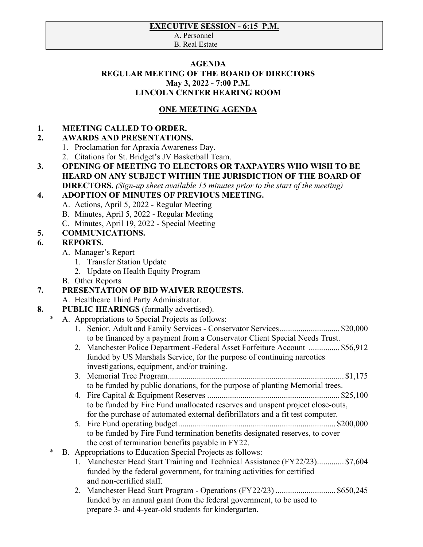#### **EXECUTIVE SESSION - 6:15\_P.M.**

A. Personnel B. Real Estate

#### **AGENDA REGULAR MEETING OF THE BOARD OF DIRECTORS May 3, 2022 - 7:00 P.M. LINCOLN CENTER HEARING ROOM**

#### **ONE MEETING AGENDA**

#### **1. MEETING CALLED TO ORDER.**

#### **2. AWARDS AND PRESENTATIONS.**

- 1. Proclamation for Apraxia Awareness Day.
- 2. Citations for St. Bridget's JV Basketball Team.
- **3. OPENING OF MEETING TO ELECTORS OR TAXPAYERS WHO WISH TO BE HEARD ON ANY SUBJECT WITHIN THE JURISDICTION OF THE BOARD OF DIRECTORS.** *(Sign-up sheet available 15 minutes prior to the start of the meeting)*

#### **4. ADOPTION OF MINUTES OF PREVIOUS MEETING.**

- A. Actions, April 5, 2022 Regular Meeting
- B. Minutes, April 5, 2022 Regular Meeting
- C. Minutes, April 19, 2022 Special Meeting

# **5. COMMUNICATIONS.**

#### **6. REPORTS.**

- A. Manager's Report
	- 1. Transfer Station Update
	- 2. Update on Health Equity Program
- B. Other Reports

# **7. PRESENTATION OF BID WAIVER REQUESTS.**

A. Healthcare Third Party Administrator.

# **8. PUBLIC HEARINGS** (formally advertised).

- A. Appropriations to Special Projects as follows:
	- 1. Senior, Adult and Family Services Conservator Services............................. \$20,000 to be financed by a payment from a Conservator Client Special Needs Trust.
	- 2. Manchester Police Department -Federal Asset Forfeiture Account ............... \$56,912 funded by US Marshals Service, for the purpose of continuing narcotics investigations, equipment, and/or training.
	- 3. Memorial Tree Program..................................................................................... \$1,175 to be funded by public donations, for the purpose of planting Memorial trees.
	- 4. Fire Capital & Equipment Reserves ................................................................ \$25,100 to be funded by Fire Fund unallocated reserves and unspent project close-outs, for the purchase of automated external defibrillators and a fit test computer.
	- 5. Fire Fund operating budget............................................................................ \$200,000 to be funded by Fire Fund termination benefits designated reserves, to cover the cost of termination benefits payable in FY22.
- B. Appropriations to Education Special Projects as follows:
	- 1. Manchester Head Start Training and Technical Assistance (FY22/23)............. \$7,604 funded by the federal government, for training activities for certified and non-certified staff.
	- 2. Manchester Head Start Program Operations (FY22/23) ............................. \$650,245 funded by an annual grant from the federal government, to be used to prepare 3- and 4-year-old students for kindergarten.